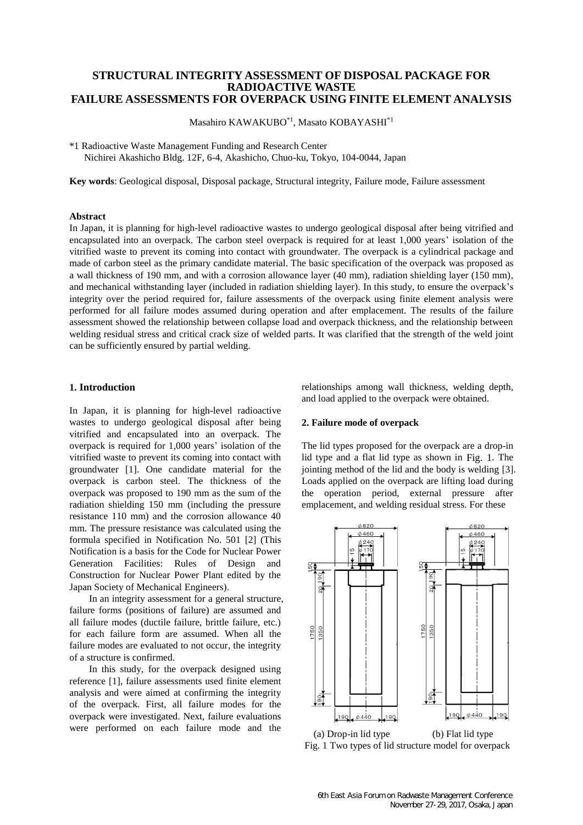# **STRUCTURAL INTEGRITY ASSESSMENT OF DISPOSAL PACKAGE FOR RADIOACTIVE WASTE FAILURE ASSESSMENTS FOR OVERPACK USING FINITE ELEMENT ANALYSIS**

Masahiro KAWAKUBO\*1, Masato KOBAYASHI\*1

\*1 Radioactive Waste Management Funding and Research Center Nichirei Akashicho Bldg. 12F, 6-4, Akashicho, Chuo-ku, Tokyo, 104-0044, Japan

**Key words**: Geological disposal, Disposal package, Structural integrity, Failure mode, Failure assessment

#### **Abstract**

In Japan, it is planning for high-level radioactive wastes to undergo geological disposal after being vitrified and encapsulated into an overpack. The carbon steel overpack is required for at least 1,000 years' isolation of the vitrified waste to prevent its coming into contact with groundwater. The overpack is a cylindrical package and made of carbon steel as the primary candidate material. The basic specification of the overpack was proposed as a wall thickness of 190 mm, and with a corrosion allowance layer (40 mm), radiation shielding layer (150 mm), and mechanical withstanding layer (included in radiation shielding layer). In this study, to ensure the overpack's integrity over the period required for, failure assessments of the overpack using finite element analysis were performed for all failure modes assumed during operation and after emplacement. The results of the failure assessment showed the relationship between collapse load and overpack thickness, and the relationship between welding residual stress and critical crack size of welded parts. It was clarified that the strength of the weld joint can be sufficiently ensured by partial welding.

#### **1. Introduction**

In Japan, it is planning for high-level radioactive wastes to undergo geological disposal after being vitrified and encapsulated into an overpack. The overpack is required for 1,000 years' isolation of the vitrified waste to prevent its coming into contact with groundwater [\[1\].](#page-3-0) One candidate material for the overpack is carbon steel. The thickness of the overpack was proposed to 190 mm as the sum of the radiation shielding 150 mm (including the pressure resistance 110 mm) and the corrosion allowance 40 mm. The pressure resistance was calculated using the formula specified in Notification No. 501 [\[2\]](#page-3-1) (This Notification is a basis for the Code for Nuclear Power Generation Facilities: Rules of Design and Construction for Nuclear Power Plant edited by the Japan Society of Mechanical Engineers).

In an integrity assessment for a general structure, failure forms (positions of failure) are assumed and all failure modes (ductile failure, brittle failure, etc.) for each failure form are assumed. When all the failure modes are evaluated to not occur, the integrity of a structure is confirmed.

In this study, for the overpack designed using reference [\[1\],](#page-3-0) failure assessments used finite element analysis and were aimed at confirming the integrity of the overpack. First, all failure modes for the overpack were investigated. Next, failure evaluations were performed on each failure mode and the

relationships among wall thickness, welding depth, and load applied to the overpack were obtained.

### **2. Failure mode of overpack**

The lid types proposed for the overpack are a drop-in lid type and a flat lid type as shown in [Fig. 1](#page-0-0). The jointing method of the lid and the body is welding [\[3\].](#page-3-2) Loads applied on the overpack are lifting load during the operation period, external pressure after emplacement, and welding residual stress. For these



<span id="page-0-0"></span>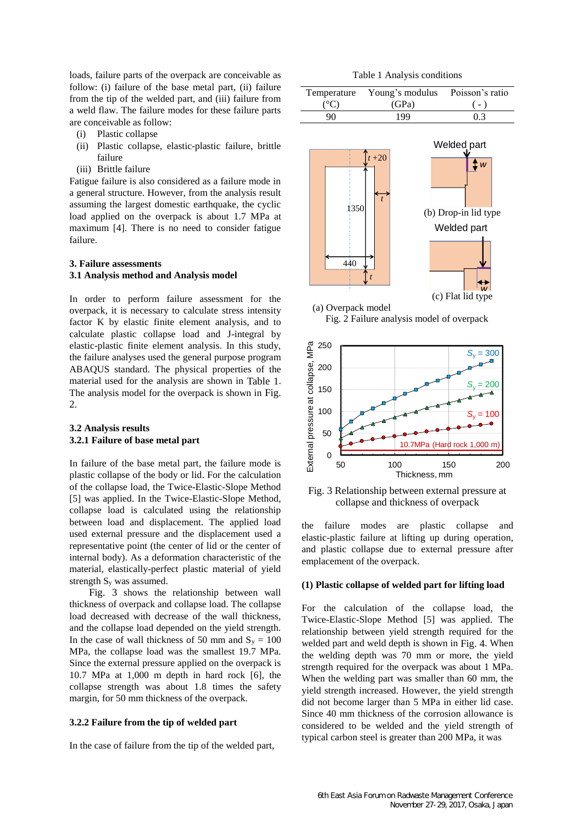loads, failure parts of the overpack are conceivable as follow: (i) failure of the base metal part, (ii) failure from the tip of the welded part, and (iii) failure from a weld flaw. The failure modes for these failure parts are conceivable as follow:

- (i) Plastic collapse
- (ii) Plastic collapse, elastic-plastic failure, brittle failure
- (iii) Brittle failure

Fatigue failure is also considered as a failure mode in a general structure. However, from the analysis result assuming the largest domestic earthquake, the cyclic load applied on the overpack is about 1.7 MPa at maximum [\[4\].](#page-3-3) There is no need to consider fatigue failure.

# **3. Failure assessments 3.1 Analysis method and Analysis model**

In order to perform failure assessment for the overpack, it is necessary to calculate stress intensity factor K by elastic finite element analysis, and to calculate plastic collapse load and J-integral by elastic-plastic finite element analysis. In this study, the failure analyses used the general purpose program ABAQUS standard. The physical properties of the material used for the analysis are shown in [Table 1](#page-1-0). The analysis model for the overpack is shown in [Fig.](#page-1-1)   $2.$  $2.$ 

## **3.2 Analysis results 3.2.1 Failure of base metal part**

In failure of the base metal part, the failure mode is plastic collapse of the body or lid. For the calculation of the collapse load, the Twice-Elastic-Slope Method [\[5\]](#page-4-0) was applied. In the Twice-Elastic-Slope Method, collapse load is calculated using the relationship between load and displacement. The applied load used external pressure and the displacement used a representative point (the center of lid or the center of internal body). As a deformation characteristic of the material, elastically-perfect plastic material of yield strength S<sup>y</sup> was assumed.

[Fig. 3](#page-1-2) shows the relationship between wall thickness of overpack and collapse load. The collapse load decreased with decrease of the wall thickness, and the collapse load depended on the yield strength. In the case of wall thickness of 50 mm and  $S_y = 100$ MPa, the collapse load was the smallest 19.7 MPa. Since the external pressure applied on the overpack is 10.7 MPa at 1,000 m depth in hard rock [\[6\],](#page-4-1) the collapse strength was about 1.8 times the safety margin, for 50 mm thickness of the overpack.

#### **3.2.2 Failure from the tip of welded part**

In the case of failure from the tip of the welded part,

Table 1 Analysis conditions

<span id="page-1-0"></span>

|               | Temperature Young's modulus Poisson's ratio |       |
|---------------|---------------------------------------------|-------|
| $(^{\circ}C)$ | (GPa)                                       | $(-)$ |
| 90.           | 199                                         | 0.3   |



Fig. 2 Failure analysis model of overpack

<span id="page-1-1"></span>

<span id="page-1-2"></span>Fig. 3 Relationship between external pressure at collapse and thickness of overpack

the failure modes are plastic collapse and elastic-plastic failure at lifting up during operation, and plastic collapse due to external pressure after emplacement of the overpack.

#### **(1) Plastic collapse of welded part for lifting load**

For the calculation of the collapse load, the Twice-Elastic-Slope Method [\[5\]](#page-4-0) was applied. The relationship between yield strength required for the welded part and weld depth is shown in [Fig. 4](#page-2-0). When the welding depth was 70 mm or more, the yield strength required for the overpack was about 1 MPa. When the welding part was smaller than 60 mm, the yield strength increased. However, the yield strength did not become larger than 5 MPa in either lid case. Since 40 mm thickness of the corrosion allowance is considered to be welded and the yield strength of typical carbon steel is greater than 200 MPa, it was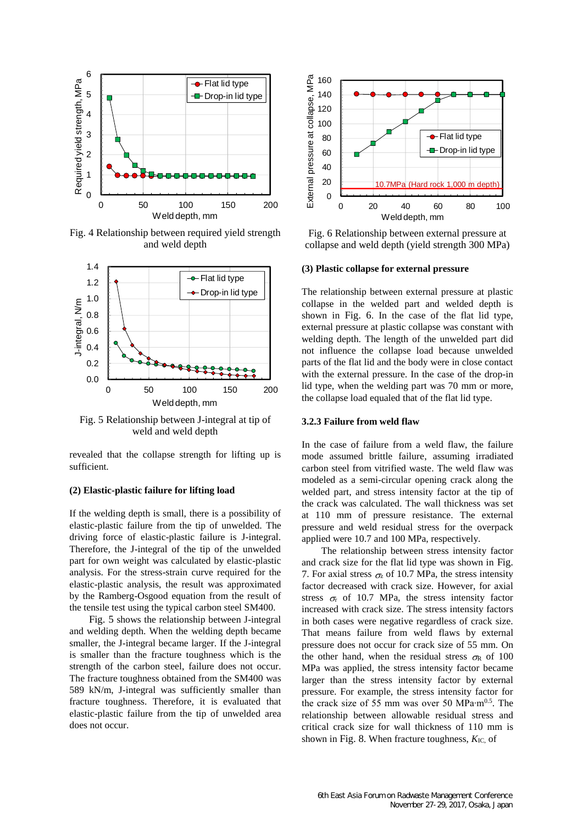

<span id="page-2-0"></span>Fig. 4 Relationship between required yield strength and weld depth



<span id="page-2-1"></span>Fig. 5 Relationship between J-integral at tip of weld and weld depth

revealed that the collapse strength for lifting up is sufficient.

## **(2) Elastic-plastic failure for lifting load**

If the welding depth is small, there is a possibility of elastic-plastic failure from the tip of unwelded. The driving force of elastic-plastic failure is J-integral. Therefore, the J-integral of the tip of the unwelded part for own weight was calculated by elastic-plastic analysis. For the stress-strain curve required for the elastic-plastic analysis, the result was approximated by the Ramberg-Osgood equation from the result of the tensile test using the typical carbon steel SM400.

[Fig. 5](#page-2-1) shows the relationship between J-integral and welding depth. When the welding depth became smaller, the J-integral became larger. If the J-integral is smaller than the fracture toughness which is the strength of the carbon steel, failure does not occur. The fracture toughness obtained from the SM400 was 589 kN/m, J-integral was sufficiently smaller than fracture toughness. Therefore, it is evaluated that elastic-plastic failure from the tip of unwelded area does not occur.



<span id="page-2-2"></span>Fig. 6 Relationship between external pressure at collapse and weld depth (yield strength 300 MPa)

#### **(3) Plastic collapse for external pressure**

The relationship between external pressure at plastic collapse in the welded part and welded depth is shown in [Fig. 6](#page-2-2). In the case of the flat lid type, external pressure at plastic collapse was constant with welding depth. The length of the unwelded part did not influence the collapse load because unwelded parts of the flat lid and the body were in close contact with the external pressure. In the case of the drop-in lid type, when the welding part was 70 mm or more, the collapse load equaled that of the flat lid type.

#### **3.2.3 Failure from weld flaw**

In the case of failure from a weld flaw, the failure mode assumed brittle failure, assuming irradiated carbon steel from vitrified waste. The weld flaw was modeled as a semi-circular opening crack along the welded part, and stress intensity factor at the tip of the crack was calculated. The wall thickness was set at 110 mm of pressure resistance. The external pressure and weld residual stress for the overpack applied were 10.7 and 100 MPa, respectively.

The relationship between stress intensity factor and crack size for the flat lid type was shown in [Fig.](#page-3-4)  [7](#page-3-4). For axial stress  $\sigma$ <sub>z</sub> of 10.7 MPa, the stress intensity factor decreased with crack size. However, for axial stress  $\sigma$  of 10.7 MPa, the stress intensity factor increased with crack size. The stress intensity factors in both cases were negative regardless of crack size. That means failure from weld flaws by external pressure does not occur for crack size of 55 mm. On the other hand, when the residual stress  $\sigma$ R of 100 MPa was applied, the stress intensity factor became larger than the stress intensity factor by external pressure. For example, the stress intensity factor for the crack size of 55 mm was over 50 MPa⋅m<sup>0.5</sup>. The relationship between allowable residual stress and critical crack size for wall thickness of 110 mm is shown in [Fig. 8](#page-3-5). When fracture toughness,  $K_{\text{IC}}$  of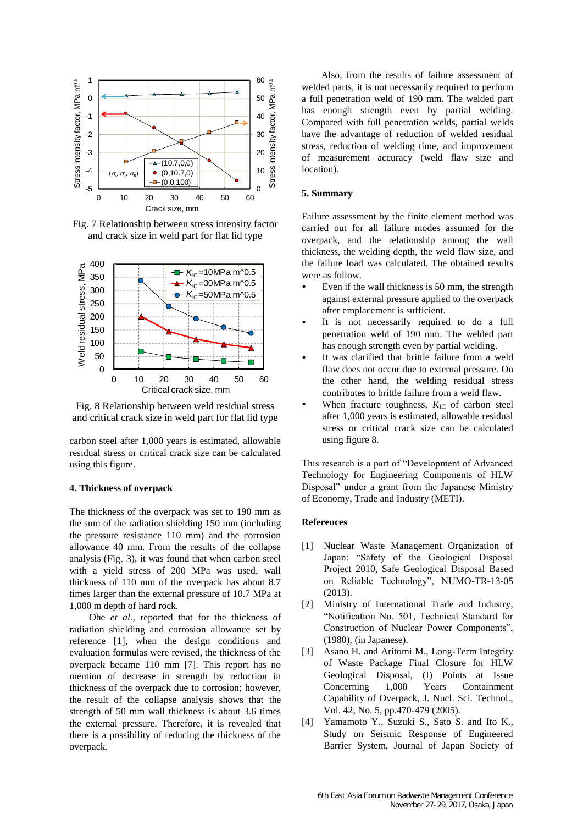

<span id="page-3-4"></span>Fig. 7 Relationship between stress intensity factor and crack size in weld part for flat lid type



<span id="page-3-5"></span>Fig. 8 Relationship between weld residual stress and critical crack size in weld part for flat lid type

carbon steel after 1,000 years is estimated, allowable residual stress or critical crack size can be calculated using this figure.

### **4. Thickness of overpack**

The thickness of the overpack was set to 190 mm as the sum of the radiation shielding 150 mm (including the pressure resistance 110 mm) and the corrosion allowance 40 mm. From the results of the collapse analysis ([Fig. 3](#page-1-2)), it was found that when carbon steel with a yield stress of 200 MPa was used, wall thickness of 110 mm of the overpack has about 8.7 times larger than the external pressure of 10.7 MPa at 1,000 m depth of hard rock.

Ohe *et al*., reported that for the thickness of radiation shielding and corrosion allowance set by reference [\[1\],](#page-3-0) when the design conditions and evaluation formulas were revised, the thickness of the overpack became 110 mm [\[7\].](#page-4-2) This report has no mention of decrease in strength by reduction in thickness of the overpack due to corrosion; however, the result of the collapse analysis shows that the strength of 50 mm wall thickness is about 3.6 times the external pressure. Therefore, it is revealed that there is a possibility of reducing the thickness of the overpack.

Also, from the results of failure assessment of welded parts, it is not necessarily required to perform a full penetration weld of 190 mm. The welded part has enough strength even by partial welding. Compared with full penetration welds, partial welds have the advantage of reduction of welded residual stress, reduction of welding time, and improvement of measurement accuracy (weld flaw size and location).

### **5. Summary**

Failure assessment by the finite element method was carried out for all failure modes assumed for the overpack, and the relationship among the wall thickness, the welding depth, the weld flaw size, and the failure load was calculated. The obtained results were as follow.

- Even if the wall thickness is 50 mm, the strength against external pressure applied to the overpack after emplacement is sufficient.
- It is not necessarily required to do a full penetration weld of 190 mm. The welded part has enough strength even by partial welding.
- It was clarified that brittle failure from a weld flaw does not occur due to external pressure. On the other hand, the welding residual stress contributes to brittle failure from a weld flaw.
- When fracture toughness,  $K_{\text{IC}}$  of carbon steel after 1,000 years is estimated, allowable residual stress or critical crack size can be calculated using figure 8.

This research is a part of "Development of Advanced Technology for Engineering Components of HLW Disposal" under a grant from the Japanese Ministry of Economy, Trade and Industry (METI).

#### **References**

- <span id="page-3-0"></span>[1] Nuclear Waste Management Organization of Japan: "Safety of the Geological Disposal Project 2010, Safe Geological Disposal Based on Reliable Technology", NUMO-TR-13-05 (2013).
- <span id="page-3-1"></span>[2] Ministry of International Trade and Industry, "Notification No. 501, Technical Standard for Construction of Nuclear Power Components", (1980), (in Japanese).
- <span id="page-3-2"></span>[3] Asano H. and Aritomi M., Long-Term Integrity of Waste Package Final Closure for HLW Geological Disposal, (I) Points at Issue Concerning 1,000 Years Containment Capability of Overpack, J. Nucl. Sci. Technol., Vol. 42, No. 5, pp.470-479 (2005).
- <span id="page-3-3"></span>[4] Yamamoto Y., Suzuki S., Sato S. and Ito K., Study on Seismic Response of Engineered Barrier System, Journal of Japan Society of